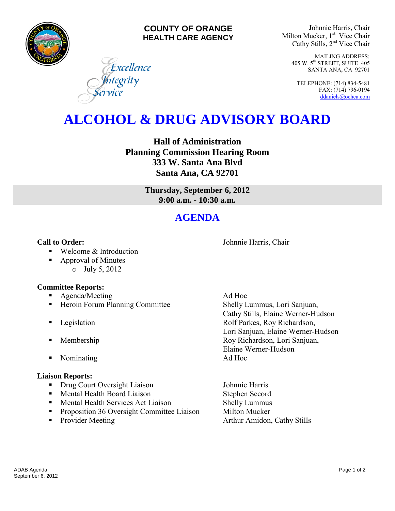

### **COUNTY OF ORANGE HEALTH CARE AGENCY**

Excellence

**I**ntegrity<br>ervice

Johnnie Harris, Chair Milton Mucker, 1<sup>st</sup> Vice Chair Cathy Stills, 2nd Vice Chair

> MAILING ADDRESS: 405 W. 5th STREET, SUITE 405 SANTA ANA, CA 92701

TELEPHONE: (714) 834-5481 FAX: (714) 796-0194 [ddaniels@ochca.com](mailto:ddaniels@ochca.com)

# **ALCOHOL & DRUG ADVISORY BOARD**

**Hall of Administration Planning Commission Hearing Room 333 W. Santa Ana Blvd Santa Ana, CA 92701** 

> **Thursday, September 6, 2012 9:00 a.m. - 10:30 a.m.**

## **AGENDA**

**Call to Order: Call to Order: Johnnie Harris, Chair** 

- Welcome & Introduction
- Approval of Minutes o July 5, 2012

### **Committee Reports:**

- **Agenda/Meeting Ad Hoc**
- Heroin Forum Planning Committee Shelly Lummus, Lori Sanjuan,
- 
- 
- Nominating Ad Hoc

### **Liaison Reports:**

- Drug Court Oversight Liaison Johnnie Harris
- **Mental Health Board Liaison** Stephen Secord
- Mental Health Services Act Liaison Shelly Lummus
- **•** Proposition 36 Oversight Committee Liaison Milton Mucker
- 

 Cathy Stills, Elaine Werner-Hudson **Example 3** Legislation **Rolf Parkes, Roy Richardson,** Lori Sanjuan, Elaine Werner-Hudson **Membership Roy Richardson, Lori Sanjuan,** Elaine Werner-Hudson

• Provider Meeting **Arthur Amidon, Cathy Stills**